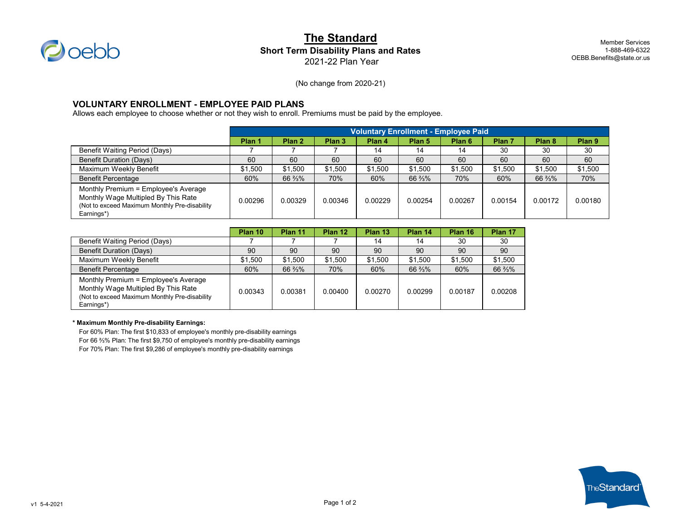

## **The Standard Short Term Disability Plans and Rates** 2021-22 Plan Year

Member Services 1-888-469-6322 OEBB.Benefits@state.or.us

(No change from 2020-21)

### **VOLUNTARY ENROLLMENT - EMPLOYEE PAID PLANS**

Allows each employee to choose whether or not they wish to enroll. Premiums must be paid by the employee.

|                                                                                                                                             | <b>Voluntary Enrollment - Employee Paid</b> |         |                   |         |                   |                   |                   |         |                   |
|---------------------------------------------------------------------------------------------------------------------------------------------|---------------------------------------------|---------|-------------------|---------|-------------------|-------------------|-------------------|---------|-------------------|
|                                                                                                                                             | Plan 1                                      | Plan 2  | Plan <sub>3</sub> | Plan 4  | Plan <sub>5</sub> | Plan <sub>6</sub> | Plan <sub>7</sub> | Plan 8  | Plan <sub>9</sub> |
| Benefit Waiting Period (Days)                                                                                                               |                                             |         |                   | 14      | 14                | 14                | 30                | 30      | 30                |
| <b>Benefit Duration (Days)</b>                                                                                                              | 60                                          | 60      | 60                | 60      | 60                | 60                | 60                | 60      | 60                |
| Maximum Weekly Benefit                                                                                                                      | \$1,500                                     | \$1.500 | \$1,500           | \$1,500 | \$1,500           | \$1,500           | \$1,500           | \$1,500 | \$1,500           |
| <b>Benefit Percentage</b>                                                                                                                   | 60%                                         | 66 %%   | 70%               | 60%     | 66 3/3%           | 70%               | 60%               | 66 %%   | 70%               |
| Monthly Premium = Employee's Average<br>Monthly Wage Multipled By This Rate<br>(Not to exceed Maximum Monthly Pre-disability)<br>Earnings*) | 0.00296                                     | 0.00329 | 0.00346           | 0.00229 | 0.00254           | 0.00267           | 0.00154           | 0.00172 | 0.00180           |

|                                                                                                                                             | Plan 10 | Plan 11 | Plan 12 | Plan 13 | Plan 14 | Plan 16 | Plan 17 |
|---------------------------------------------------------------------------------------------------------------------------------------------|---------|---------|---------|---------|---------|---------|---------|
| Benefit Waiting Period (Days)                                                                                                               |         |         |         | 14      | 14      | 30      | 30      |
| <b>Benefit Duration (Days)</b>                                                                                                              | 90      | 90      | 90      | 90      | 90      | 90      | 90      |
| Maximum Weekly Benefit                                                                                                                      | \$1.500 | \$1.500 | \$1.500 | \$1,500 | \$1.500 | \$1,500 | \$1.500 |
| <b>Benefit Percentage</b>                                                                                                                   | 60%     | 66 %%   | 70%     | 60%     | 66 %%   | 60%     | 66 3/3% |
| Monthly Premium = Employee's Average<br>Monthly Wage Multipled By This Rate<br>(Not to exceed Maximum Monthly Pre-disability)<br>Earnings*) | 0.00343 | 0.00381 | 0.00400 | 0.00270 | 0.00299 | 0.00187 | 0.00208 |

#### **\* Maximum Monthly Pre-disability Earnings:**

For 60% Plan: The first \$10,833 of employee's monthly pre-disability earnings For 66 ⅔% Plan: The first \$9,750 of employee's monthly pre-disability earnings For 70% Plan: The first \$9,286 of employee's monthly pre-disability earnings